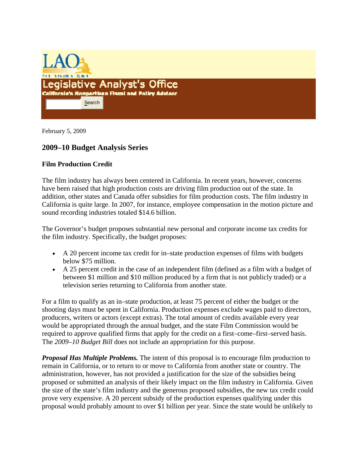

February 5, 2009

## **2009–10 Budget Analysis Series**

## **Film Production Credit**

The film industry has always been centered in California. In recent years, however, concerns have been raised that high production costs are driving film production out of the state. In addition, other states and Canada offer subsidies for film production costs. The film industry in California is quite large. In 2007, for instance, employee compensation in the motion picture and sound recording industries totaled \$14.6 billion.

The Governor's budget proposes substantial new personal and corporate income tax credits for the film industry. Specifically, the budget proposes:

- A 20 percent income tax credit for in–state production expenses of films with budgets below \$75 million.
- A 25 percent credit in the case of an independent film (defined as a film with a budget of between \$1 million and \$10 million produced by a firm that is not publicly traded) or a television series returning to California from another state.

For a film to qualify as an in–state production, at least 75 percent of either the budget or the shooting days must be spent in California. Production expenses exclude wages paid to directors, producers, writers or actors (except extras). The total amount of credits available every year would be appropriated through the annual budget, and the state Film Commission would be required to approve qualified firms that apply for the credit on a first–come–first–served basis. The *2009–10 Budget Bill* does not include an appropriation for this purpose.

*Proposal Has Multiple Problems.* The intent of this proposal is to encourage film production to remain in California, or to return to or move to California from another state or country. The administration, however, has not provided a justification for the size of the subsidies being proposed or submitted an analysis of their likely impact on the film industry in California. Given the size of the state's film industry and the generous proposed subsidies, the new tax credit could prove very expensive. A 20 percent subsidy of the production expenses qualifying under this proposal would probably amount to over \$1 billion per year. Since the state would be unlikely to